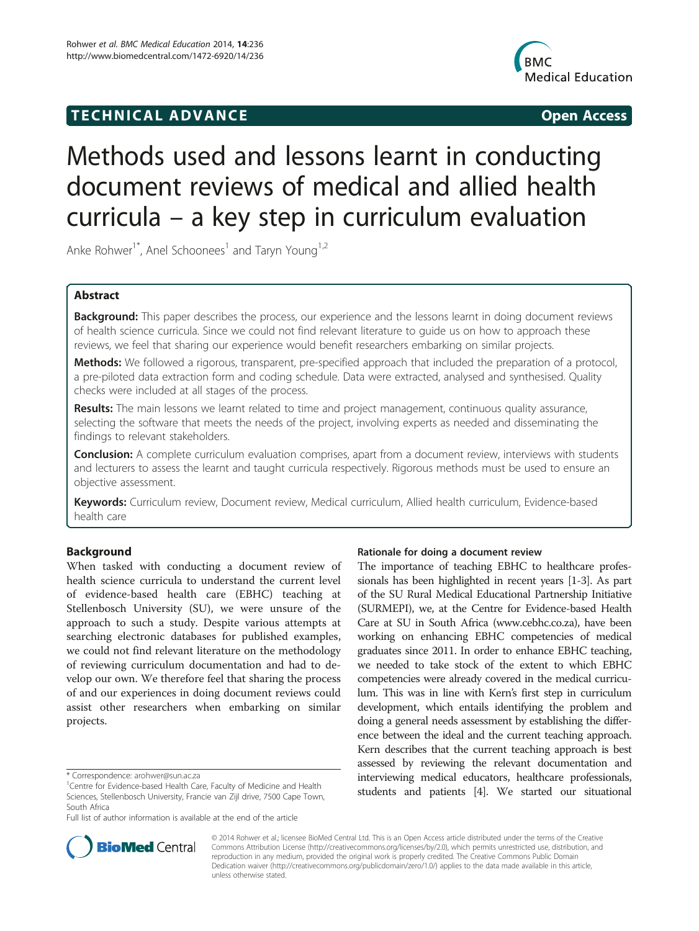## **TECHNICAL ADVANCE CONSUMING ACCESS**



# Methods used and lessons learnt in conducting document reviews of medical and allied health curricula – a key step in curriculum evaluation

Anke Rohwer<sup>1\*</sup>, Anel Schoonees<sup>1</sup> and Taryn Young<sup>1,2</sup>

## Abstract

Background: This paper describes the process, our experience and the lessons learnt in doing document reviews of health science curricula. Since we could not find relevant literature to guide us on how to approach these reviews, we feel that sharing our experience would benefit researchers embarking on similar projects.

Methods: We followed a rigorous, transparent, pre-specified approach that included the preparation of a protocol, a pre-piloted data extraction form and coding schedule. Data were extracted, analysed and synthesised. Quality checks were included at all stages of the process.

Results: The main lessons we learnt related to time and project management, continuous quality assurance, selecting the software that meets the needs of the project, involving experts as needed and disseminating the findings to relevant stakeholders.

Conclusion: A complete curriculum evaluation comprises, apart from a document review, interviews with students and lecturers to assess the learnt and taught curricula respectively. Rigorous methods must be used to ensure an objective assessment.

Keywords: Curriculum review, Document review, Medical curriculum, Allied health curriculum, Evidence-based health care

## Background

When tasked with conducting a document review of health science curricula to understand the current level of evidence-based health care (EBHC) teaching at Stellenbosch University (SU), we were unsure of the approach to such a study. Despite various attempts at searching electronic databases for published examples, we could not find relevant literature on the methodology of reviewing curriculum documentation and had to develop our own. We therefore feel that sharing the process of and our experiences in doing document reviews could assist other researchers when embarking on similar projects.

Full list of author information is available at the end of the article



The importance of teaching EBHC to healthcare professionals has been highlighted in recent years [\[1-3\]](#page-6-0). As part of the SU Rural Medical Educational Partnership Initiative (SURMEPI), we, at the Centre for Evidence-based Health Care at SU in South Africa [\(www.cebhc.co.za](http://www.cebhc.co.za)), have been working on enhancing EBHC competencies of medical graduates since 2011. In order to enhance EBHC teaching, we needed to take stock of the extent to which EBHC competencies were already covered in the medical curriculum. This was in line with Kern's first step in curriculum development, which entails identifying the problem and doing a general needs assessment by establishing the difference between the ideal and the current teaching approach. Kern describes that the current teaching approach is best assessed by reviewing the relevant documentation and interviewing medical educators, healthcare professionals, students and patients [[4](#page-6-0)]. We started our situational



© 2014 Rohwer et al.; licensee BioMed Central Ltd. This is an Open Access article distributed under the terms of the Creative Commons Attribution License [\(http://creativecommons.org/licenses/by/2.0\)](http://creativecommons.org/licenses/by/2.0), which permits unrestricted use, distribution, and reproduction in any medium, provided the original work is properly credited. The Creative Commons Public Domain Dedication waiver [\(http://creativecommons.org/publicdomain/zero/1.0/](http://creativecommons.org/publicdomain/zero/1.0/)) applies to the data made available in this article, unless otherwise stated.

<sup>\*</sup> Correspondence: [arohwer@sun.ac.za](mailto:arohwer@sun.ac.za) <sup>1</sup>

<sup>&</sup>lt;sup>1</sup> Centre for Evidence-based Health Care, Faculty of Medicine and Health Sciences, Stellenbosch University, Francie van Zijl drive, 7500 Cape Town, South Africa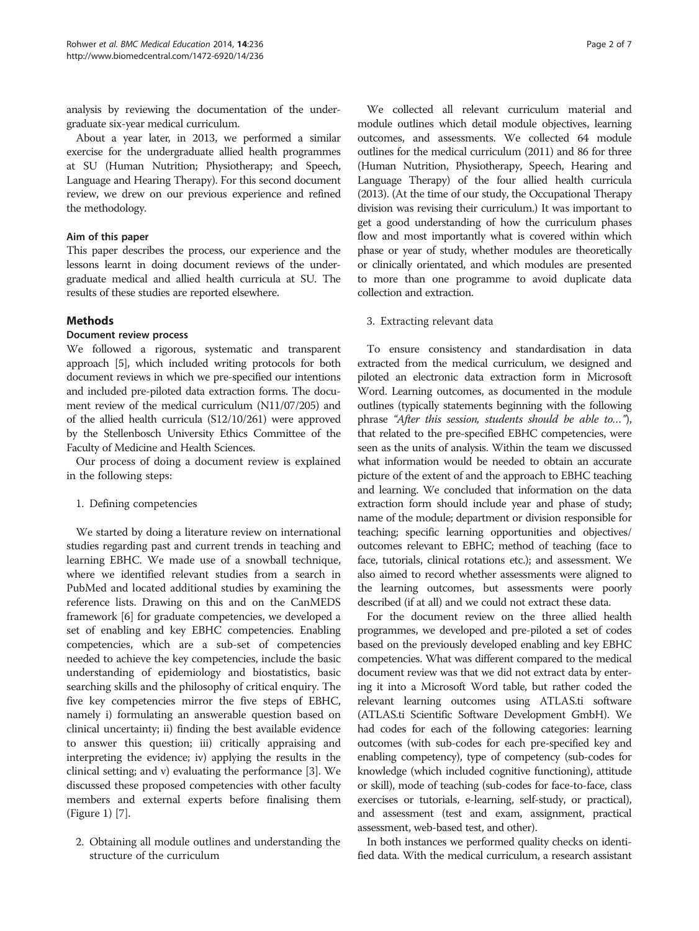analysis by reviewing the documentation of the undergraduate six-year medical curriculum.

About a year later, in 2013, we performed a similar exercise for the undergraduate allied health programmes at SU (Human Nutrition; Physiotherapy; and Speech, Language and Hearing Therapy). For this second document review, we drew on our previous experience and refined the methodology.

#### Aim of this paper

This paper describes the process, our experience and the lessons learnt in doing document reviews of the undergraduate medical and allied health curricula at SU. The results of these studies are reported elsewhere.

## Methods

## Document review process

We followed a rigorous, systematic and transparent approach [\[5\]](#page-6-0), which included writing protocols for both document reviews in which we pre-specified our intentions and included pre-piloted data extraction forms. The document review of the medical curriculum (N11/07/205) and of the allied health curricula (S12/10/261) were approved by the Stellenbosch University Ethics Committee of the Faculty of Medicine and Health Sciences.

Our process of doing a document review is explained in the following steps:

## 1. Defining competencies

We started by doing a literature review on international studies regarding past and current trends in teaching and learning EBHC. We made use of a snowball technique, where we identified relevant studies from a search in PubMed and located additional studies by examining the reference lists. Drawing on this and on the CanMEDS framework [\[6\]](#page-6-0) for graduate competencies, we developed a set of enabling and key EBHC competencies. Enabling competencies, which are a sub-set of competencies needed to achieve the key competencies, include the basic understanding of epidemiology and biostatistics, basic searching skills and the philosophy of critical enquiry. The five key competencies mirror the five steps of EBHC, namely i) formulating an answerable question based on clinical uncertainty; ii) finding the best available evidence to answer this question; iii) critically appraising and interpreting the evidence; iv) applying the results in the clinical setting; and v) evaluating the performance [\[3](#page-6-0)]. We discussed these proposed competencies with other faculty members and external experts before finalising them (Figure [1](#page-2-0)) [\[7](#page-6-0)].

2. Obtaining all module outlines and understanding the structure of the curriculum

We collected all relevant curriculum material and module outlines which detail module objectives, learning outcomes, and assessments. We collected 64 module outlines for the medical curriculum (2011) and 86 for three (Human Nutrition, Physiotherapy, Speech, Hearing and Language Therapy) of the four allied health curricula (2013). (At the time of our study, the Occupational Therapy division was revising their curriculum.) It was important to get a good understanding of how the curriculum phases flow and most importantly what is covered within which phase or year of study, whether modules are theoretically or clinically orientated, and which modules are presented to more than one programme to avoid duplicate data collection and extraction.

#### 3. Extracting relevant data

To ensure consistency and standardisation in data extracted from the medical curriculum, we designed and piloted an electronic data extraction form in Microsoft Word. Learning outcomes, as documented in the module outlines (typically statements beginning with the following phrase "After this session, students should be able to…"), that related to the pre-specified EBHC competencies, were seen as the units of analysis. Within the team we discussed what information would be needed to obtain an accurate picture of the extent of and the approach to EBHC teaching and learning. We concluded that information on the data extraction form should include year and phase of study; name of the module; department or division responsible for teaching; specific learning opportunities and objectives/ outcomes relevant to EBHC; method of teaching (face to face, tutorials, clinical rotations etc.); and assessment. We also aimed to record whether assessments were aligned to the learning outcomes, but assessments were poorly described (if at all) and we could not extract these data.

For the document review on the three allied health programmes, we developed and pre-piloted a set of codes based on the previously developed enabling and key EBHC competencies. What was different compared to the medical document review was that we did not extract data by entering it into a Microsoft Word table, but rather coded the relevant learning outcomes using ATLAS.ti software (ATLAS.ti Scientific Software Development GmbH). We had codes for each of the following categories: learning outcomes (with sub-codes for each pre-specified key and enabling competency), type of competency (sub-codes for knowledge (which included cognitive functioning), attitude or skill), mode of teaching (sub-codes for face-to-face, class exercises or tutorials, e-learning, self-study, or practical), and assessment (test and exam, assignment, practical assessment, web-based test, and other).

In both instances we performed quality checks on identified data. With the medical curriculum, a research assistant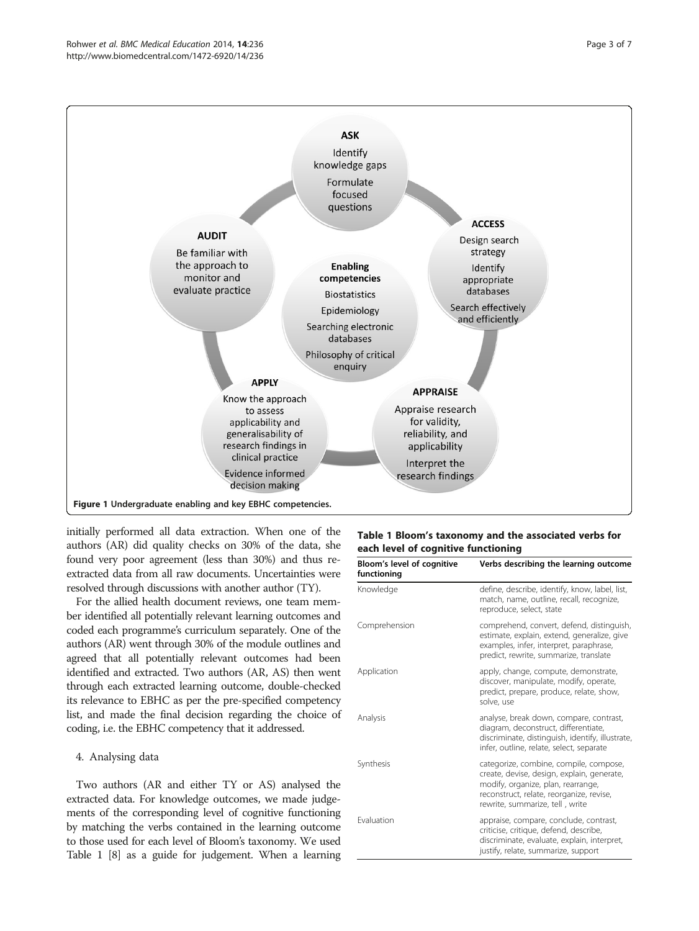<span id="page-2-0"></span>

initially performed all data extraction. When one of the authors (AR) did quality checks on 30% of the data, she found very poor agreement (less than 30%) and thus reextracted data from all raw documents. Uncertainties were resolved through discussions with another author (TY).

For the allied health document reviews, one team member identified all potentially relevant learning outcomes and coded each programme's curriculum separately. One of the authors (AR) went through 30% of the module outlines and agreed that all potentially relevant outcomes had been identified and extracted. Two authors (AR, AS) then went through each extracted learning outcome, double-checked its relevance to EBHC as per the pre-specified competency list, and made the final decision regarding the choice of coding, i.e. the EBHC competency that it addressed.

#### 4. Analysing data

Two authors (AR and either TY or AS) analysed the extracted data. For knowledge outcomes, we made judgements of the corresponding level of cognitive functioning by matching the verbs contained in the learning outcome to those used for each level of Bloom's taxonomy. We used Table 1 [\[8](#page-6-0)] as a guide for judgement. When a learning

| Table 1 Bloom's taxonomy and the associated verbs for |  |  |
|-------------------------------------------------------|--|--|
| each level of cognitive functioning                   |  |  |

| Bloom's level of cognitive<br>functioning | Verbs describing the learning outcome                                                                                                                                                                     |
|-------------------------------------------|-----------------------------------------------------------------------------------------------------------------------------------------------------------------------------------------------------------|
| Knowledge                                 | define, describe, identify, know, label, list,<br>match, name, outline, recall, recognize,<br>reproduce, select, state                                                                                    |
| Comprehension                             | comprehend, convert, defend, distinguish,<br>estimate, explain, extend, generalize, give<br>examples, infer, interpret, paraphrase,<br>predict, rewrite, summarize, translate                             |
| Application                               | apply, change, compute, demonstrate,<br>discover, manipulate, modify, operate,<br>predict, prepare, produce, relate, show,<br>solve, use                                                                  |
| Analysis                                  | analyse, break down, compare, contrast,<br>diagram, deconstruct, differentiate,<br>discriminate, distinguish, identify, illustrate,<br>infer, outline, relate, select, separate                           |
| Synthesis                                 | categorize, combine, compile, compose,<br>create, devise, design, explain, generate,<br>modify, organize, plan, rearrange,<br>reconstruct, relate, reorganize, revise,<br>rewrite, summarize, tell, write |
| Fvaluation                                | appraise, compare, conclude, contrast,<br>criticise, critique, defend, describe,<br>discriminate, evaluate, explain, interpret,<br>justify, relate, summarize, support                                    |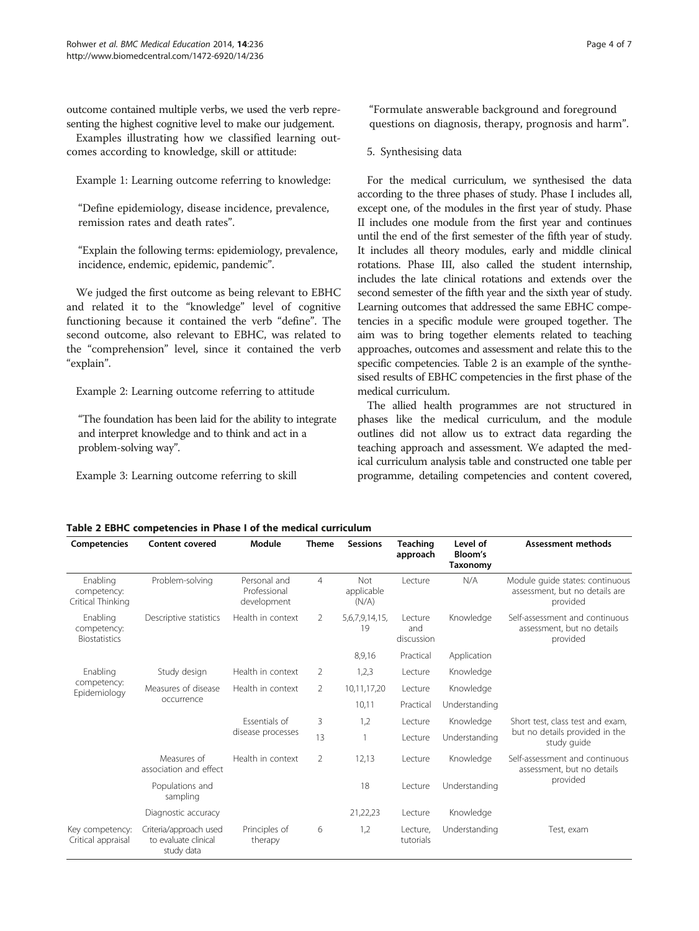outcome contained multiple verbs, we used the verb representing the highest cognitive level to make our judgement.

Examples illustrating how we classified learning outcomes according to knowledge, skill or attitude:

Example 1: Learning outcome referring to knowledge:

"Define epidemiology, disease incidence, prevalence, remission rates and death rates".

"Explain the following terms: epidemiology, prevalence, incidence, endemic, epidemic, pandemic".

We judged the first outcome as being relevant to EBHC and related it to the "knowledge" level of cognitive functioning because it contained the verb "define". The second outcome, also relevant to EBHC, was related to the "comprehension" level, since it contained the verb "explain".

Example 2: Learning outcome referring to attitude

"The foundation has been laid for the ability to integrate and interpret knowledge and to think and act in a problem-solving way".

Example 3: Learning outcome referring to skill

"Formulate answerable background and foreground questions on diagnosis, therapy, prognosis and harm".

5. Synthesising data

For the medical curriculum, we synthesised the data according to the three phases of study. Phase I includes all, except one, of the modules in the first year of study. Phase II includes one module from the first year and continues until the end of the first semester of the fifth year of study. It includes all theory modules, early and middle clinical rotations. Phase III, also called the student internship, includes the late clinical rotations and extends over the second semester of the fifth year and the sixth year of study. Learning outcomes that addressed the same EBHC competencies in a specific module were grouped together. The aim was to bring together elements related to teaching approaches, outcomes and assessment and relate this to the specific competencies. Table 2 is an example of the synthesised results of EBHC competencies in the first phase of the medical curriculum.

The allied health programmes are not structured in phases like the medical curriculum, and the module outlines did not allow us to extract data regarding the teaching approach and assessment. We adapted the medical curriculum analysis table and constructed one table per programme, detailing competencies and content covered,

Assessment methods

Level of

|  | Table 2 EBHC competencies in Phase I of the medical curriculum |  |  |  |
|--|----------------------------------------------------------------|--|--|--|
|--|----------------------------------------------------------------|--|--|--|

| <b>Competencies</b>                             | <b>Content covered</b>                                       | Module                                      | <b>Theme</b>   | <b>Sessions</b>            | Teaching<br>approach         | Level of<br>Bloom's<br>Taxonomy | <b>Assessment methods</b>                                                         |
|-------------------------------------------------|--------------------------------------------------------------|---------------------------------------------|----------------|----------------------------|------------------------------|---------------------------------|-----------------------------------------------------------------------------------|
| Enabling<br>competency:<br>Critical Thinking    | Problem-solving                                              | Personal and<br>Professional<br>development | $\overline{4}$ | Not<br>applicable<br>(N/A) | Lecture                      | N/A                             | Module quide states: continuous<br>assessment, but no details are<br>provided     |
| Enabling<br>competency:<br><b>Biostatistics</b> | Descriptive statistics                                       | Health in context                           | 2              | 5,6,7,9,14,15,<br>19       | Lecture<br>and<br>discussion | Knowledge                       | Self-assessment and continuous<br>assessment, but no details<br>provided          |
|                                                 |                                                              |                                             |                | 8,9,16                     | Practical                    | Application                     |                                                                                   |
| Enabling<br>competency:<br>Epidemiology         | Study design                                                 | Health in context                           | 2              | 1,2,3                      | Lecture                      | Knowledge                       |                                                                                   |
|                                                 | Measures of disease<br>occurrence                            | Health in context                           | 2              | 10,11,17,20                | Lecture                      | Knowledge                       |                                                                                   |
|                                                 |                                                              |                                             |                | 10,11                      | Practical                    | Understanding                   |                                                                                   |
|                                                 |                                                              | <b>Essentials of</b><br>disease processes   | 3              | 1,2                        | Lecture                      | Knowledge                       | Short test, class test and exam,<br>but no details provided in the<br>study quide |
|                                                 |                                                              |                                             | 13             | 1                          | Lecture                      | Understanding                   |                                                                                   |
|                                                 | Measures of<br>association and effect                        | Health in context                           | 2              | 12,13                      | Lecture                      | Knowledge                       | Self-assessment and continuous<br>assessment, but no details                      |
|                                                 | Populations and<br>sampling                                  |                                             |                | 18                         | Lecture                      | Understanding                   | provided                                                                          |
|                                                 | Diagnostic accuracy                                          |                                             |                | 21,22,23                   | Lecture                      | Knowledge                       |                                                                                   |
| Key competency:<br>Critical appraisal           | Criteria/approach used<br>to evaluate clinical<br>study data | Principles of<br>therapy                    | 6              | 1,2                        | Lecture,<br>tutorials        | Understanding                   | Test, exam                                                                        |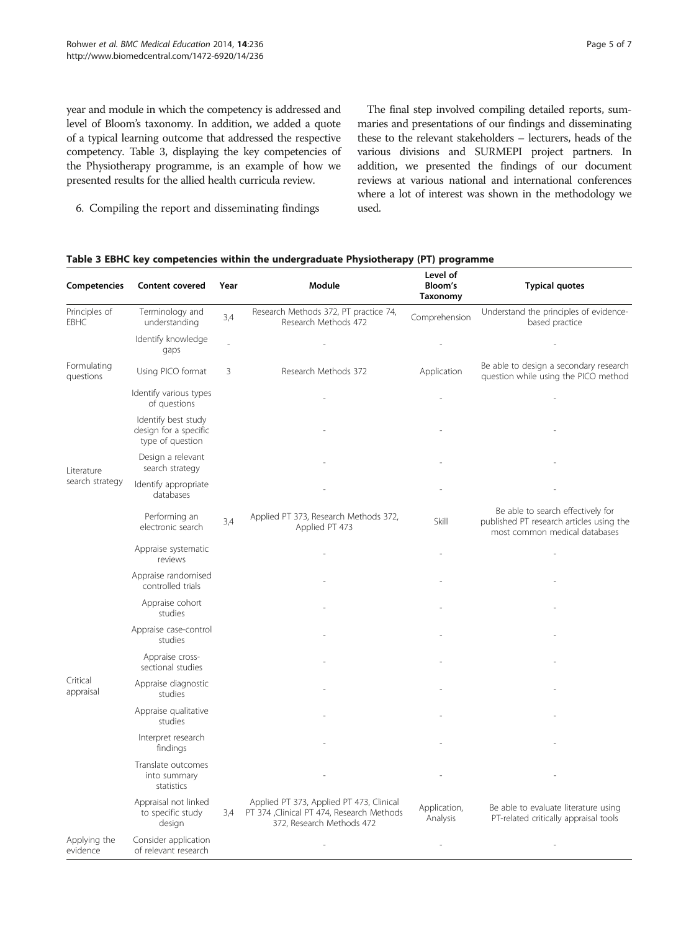year and module in which the competency is addressed and level of Bloom's taxonomy. In addition, we added a quote of a typical learning outcome that addressed the respective competency. Table 3, displaying the key competencies of the Physiotherapy programme, is an example of how we presented results for the allied health curricula review.

6. Compiling the report and disseminating findings

The final step involved compiling detailed reports, summaries and presentations of our findings and disseminating these to the relevant stakeholders – lecturers, heads of the various divisions and SURMEPI project partners. In addition, we presented the findings of our document reviews at various national and international conferences where a lot of interest was shown in the methodology we used.

| Competencies                  | Content covered                                                  | Year | Module                                                                                                              | Level of<br>Bloom's<br><b>Taxonomy</b> | <b>Typical quotes</b>                                                                                          |
|-------------------------------|------------------------------------------------------------------|------|---------------------------------------------------------------------------------------------------------------------|----------------------------------------|----------------------------------------------------------------------------------------------------------------|
| Principles of<br><b>EBHC</b>  | Terminology and<br>understanding                                 | 3,4  | Research Methods 372, PT practice 74,<br>Research Methods 472                                                       | Comprehension                          | Understand the principles of evidence-<br>based practice                                                       |
|                               | Identify knowledge<br>gaps                                       |      |                                                                                                                     |                                        |                                                                                                                |
| Formulating<br>questions      | Using PICO format                                                | 3    | Research Methods 372                                                                                                | Application                            | Be able to design a secondary research<br>question while using the PICO method                                 |
|                               | Identify various types<br>of questions                           |      |                                                                                                                     |                                        |                                                                                                                |
|                               | Identify best study<br>design for a specific<br>type of question |      |                                                                                                                     |                                        |                                                                                                                |
| Literature<br>search strategy | Design a relevant<br>search strategy                             |      |                                                                                                                     |                                        |                                                                                                                |
|                               | Identify appropriate<br>databases                                |      |                                                                                                                     |                                        |                                                                                                                |
|                               | Performing an<br>electronic search                               | 3,4  | Applied PT 373, Research Methods 372,<br>Applied PT 473                                                             | Skill                                  | Be able to search effectively for<br>published PT research articles using the<br>most common medical databases |
|                               | Appraise systematic<br>reviews                                   |      |                                                                                                                     |                                        |                                                                                                                |
|                               | Appraise randomised<br>controlled trials                         |      |                                                                                                                     |                                        |                                                                                                                |
|                               | Appraise cohort<br>studies                                       |      |                                                                                                                     |                                        |                                                                                                                |
|                               | Appraise case-control<br>studies                                 |      |                                                                                                                     |                                        |                                                                                                                |
|                               | Appraise cross-<br>sectional studies                             |      |                                                                                                                     |                                        |                                                                                                                |
| Critical<br>appraisal         | Appraise diagnostic<br>studies                                   |      |                                                                                                                     |                                        |                                                                                                                |
|                               | Appraise qualitative<br>studies                                  |      |                                                                                                                     |                                        |                                                                                                                |
|                               | Interpret research<br>findings                                   |      |                                                                                                                     |                                        |                                                                                                                |
|                               | Translate outcomes<br>into summary<br>statistics                 |      |                                                                                                                     |                                        |                                                                                                                |
|                               | Appraisal not linked<br>to specific study<br>design              | 3,4  | Applied PT 373, Applied PT 473, Clinical<br>PT 374 , Clinical PT 474, Research Methods<br>372, Research Methods 472 | Application,<br>Analysis               | Be able to evaluate literature using<br>PT-related critically appraisal tools                                  |
| Applying the<br>evidence      | Consider application<br>of relevant research                     |      |                                                                                                                     |                                        |                                                                                                                |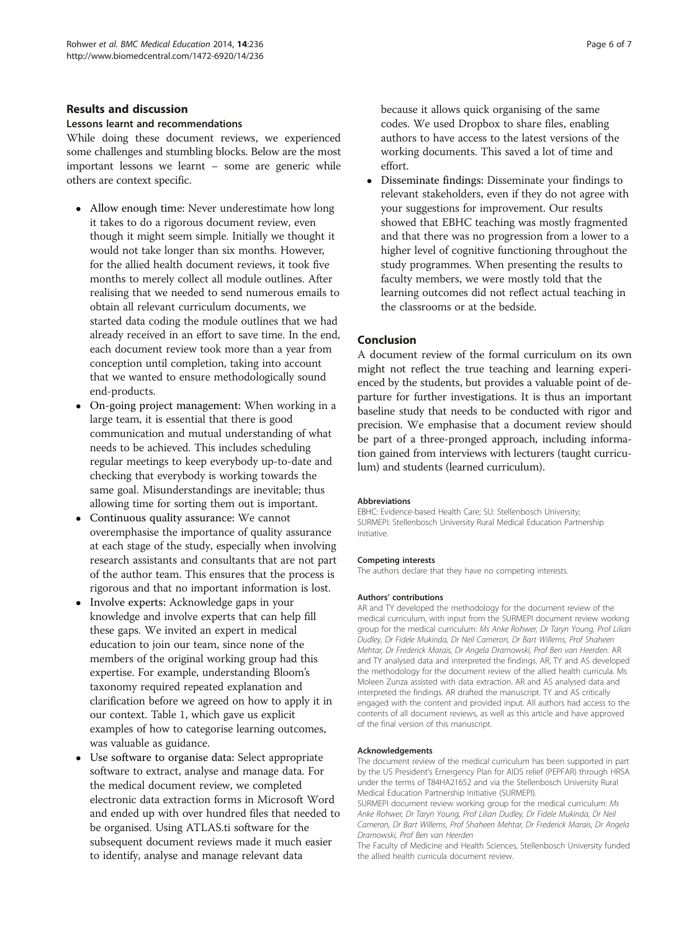## Results and discussion

#### Lessons learnt and recommendations

While doing these document reviews, we experienced some challenges and stumbling blocks. Below are the most important lessons we learnt – some are generic while others are context specific.

- Allow enough time: Never underestimate how long it takes to do a rigorous document review, even though it might seem simple. Initially we thought it would not take longer than six months. However, for the allied health document reviews, it took five months to merely collect all module outlines. After realising that we needed to send numerous emails to obtain all relevant curriculum documents, we started data coding the module outlines that we had already received in an effort to save time. In the end, each document review took more than a year from conception until completion, taking into account that we wanted to ensure methodologically sound end-products.
- On-going project management: When working in a large team, it is essential that there is good communication and mutual understanding of what needs to be achieved. This includes scheduling regular meetings to keep everybody up-to-date and checking that everybody is working towards the same goal. Misunderstandings are inevitable; thus allowing time for sorting them out is important.
- Continuous quality assurance: We cannot overemphasise the importance of quality assurance at each stage of the study, especially when involving research assistants and consultants that are not part of the author team. This ensures that the process is rigorous and that no important information is lost.
- Involve experts: Acknowledge gaps in your knowledge and involve experts that can help fill these gaps. We invited an expert in medical education to join our team, since none of the members of the original working group had this expertise. For example, understanding Bloom's taxonomy required repeated explanation and clarification before we agreed on how to apply it in our context. Table [1](#page-2-0), which gave us explicit examples of how to categorise learning outcomes, was valuable as guidance.
- Use software to organise data: Select appropriate software to extract, analyse and manage data. For the medical document review, we completed electronic data extraction forms in Microsoft Word and ended up with over hundred files that needed to be organised. Using ATLAS.ti software for the subsequent document reviews made it much easier to identify, analyse and manage relevant data

because it allows quick organising of the same codes. We used Dropbox to share files, enabling authors to have access to the latest versions of the working documents. This saved a lot of time and effort.

 Disseminate findings: Disseminate your findings to relevant stakeholders, even if they do not agree with your suggestions for improvement. Our results showed that EBHC teaching was mostly fragmented and that there was no progression from a lower to a higher level of cognitive functioning throughout the study programmes. When presenting the results to faculty members, we were mostly told that the learning outcomes did not reflect actual teaching in the classrooms or at the bedside.

## Conclusion

A document review of the formal curriculum on its own might not reflect the true teaching and learning experienced by the students, but provides a valuable point of departure for further investigations. It is thus an important baseline study that needs to be conducted with rigor and precision. We emphasise that a document review should be part of a three-pronged approach, including information gained from interviews with lecturers (taught curriculum) and students (learned curriculum).

#### Abbreviations

EBHC: Evidence-based Health Care; SU: Stellenbosch University; SURMEPI: Stellenbosch University Rural Medical Education Partnership Initiative.

#### Competing interests

The authors declare that they have no competing interests.

#### Authors' contributions

AR and TY developed the methodology for the document review of the medical curriculum, with input from the SURMEPI document review working group for the medical curriculum: Ms Anke Rohwer, Dr Taryn Young, Prof Lilian Dudley, Dr Fidele Mukinda, Dr Neil Cameron, Dr Bart Willems, Prof Shaheen Mehtar, Dr Frederick Marais, Dr Angela Dramowski, Prof Ben van Heerden. AR and TY analysed data and interpreted the findings. AR, TY and AS developed the methodology for the document review of the allied health curricula. Ms Moleen Zunza assisted with data extraction. AR and AS analysed data and interpreted the findings. AR drafted the manuscript. TY and AS critically engaged with the content and provided input. All authors had access to the contents of all document reviews, as well as this article and have approved of the final version of this manuscript.

#### Acknowledgements

The document review of the medical curriculum has been supported in part by the US President's Emergency Plan for AIDS relief (PEPFAR) through HRSA under the terms of T84HA21652 and via the Stellenbosch University Rural Medical Education Partnership Initiative (SURMEPI).

SURMEPI document review working group for the medical curriculum: Ms Anke Rohwer, Dr Taryn Young, Prof Lilian Dudley, Dr Fidele Mukinda, Dr Neil Cameron, Dr Bart Willems, Prof Shaheen Mehtar, Dr Frederick Marais, Dr Angela Dramowski, Prof Ben van Heerden

The Faculty of Medicine and Health Sciences, Stellenbosch University funded the allied health curricula document review.